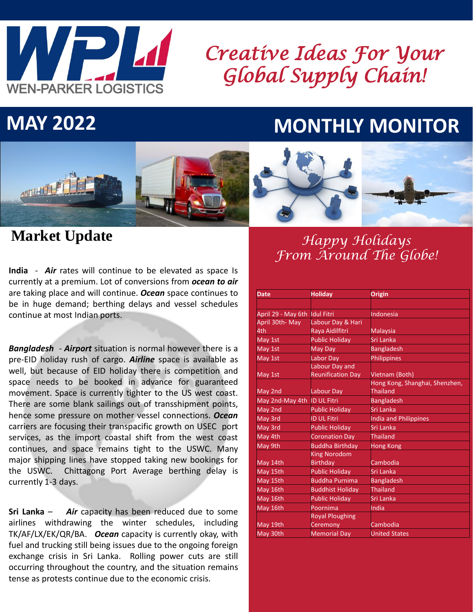

# *Creative Ideas For Your Global Supply Chain!*

## **MAY 2022 MONTHLY MONITOR**





**India** - *Air* rates will continue to be elevated as space Is currently at a premium. Lot of conversions from *ocean to air* are taking place and will continue. *Ocean* space continues to be in huge demand; berthing delays and vessel schedules continue at most Indian ports.

*Bangladesh - Airport* situation is normal however there is a pre-EID holiday rush of cargo. *Airline* space is available as well, but because of EID holiday there is competition and space needs to be booked in advance for guaranteed movement. Space is currently tighter to the US west coast. There are some blank sailings out of transshipment points, hence some pressure on mother vessel connections. *Ocean* carriers are focusing their transpacific growth on USEC port services, as the import coastal shift from the west coast continues, and space remains tight to the USWC. Many major shipping lines have stopped taking new bookings for the USWC. Chittagong Port Average berthing delay is currently 1-3 days.

**Sri Lanka** – *Air* capacity has been reduced due to some airlines withdrawing the winter schedules, including TK/AF/LX/EK/QR/BA. *Ocean* capacity is currently okay, with fuel and trucking still being issues due to the ongoing foreign exchange crisis in Sri Lanka. Rolling power cuts are still occurring throughout the country, and the situation remains tense as protests continue due to the economic crisis.

## **Market Update** *Happy Holidays From Around The Globe!*

| <b>Date</b>        | <b>Holiday</b>           | Origin                         |
|--------------------|--------------------------|--------------------------------|
|                    |                          |                                |
| April 29 - May 6th | <b>Idul Fitri</b>        | Indonesia                      |
| April 30th-May     | Labour Day & Hari        |                                |
| 4th                | Raya Aidilfitri          | <b>Malaysia</b>                |
| May 1st            | <b>Public Holiday</b>    | Sri Lanka                      |
| May 1st            | May Day                  | <b>Bangladesh</b>              |
| May 1st            | Labor Day                | Philippines                    |
|                    | Labour Day and           |                                |
| May 1st            | <b>Reunification Day</b> | Vietnam (Both)                 |
|                    |                          | Hong Kong, Shanghai, Shenzhen, |
| May 2nd            | Labour Day               | <b>Thailand</b>                |
| May 2nd-May 4th    | <b>ID UL Fitri</b>       | <b>Bangladesh</b>              |
| May 2nd            | <b>Public Holiday</b>    | Sri Lanka                      |
| May 3rd            | <b>ID UL Fitri</b>       | India and Philippines          |
| May 3rd            | <b>Public Holiday</b>    | Sri Lanka                      |
| May 4th            | <b>Coronation Day</b>    | <b>Thailand</b>                |
| May 9th            | <b>Buddha Birthday</b>   | <b>Hong Kong</b>               |
|                    | <b>King Norodom</b>      |                                |
| May 14th           | <b>Birthday</b>          | Cambodia                       |
| May 15th           | <b>Public Holiday</b>    | Sri Lanka                      |
| May 15th           | <b>Buddha Purnima</b>    | <b>Bangladesh</b>              |
| May 16th           | <b>Buddhist Holiday</b>  | <b>Thailand</b>                |
| May 16th           | <b>Public Holiday</b>    | Sri Lanka                      |
| May 16th           | Poornima                 | India                          |
|                    | <b>Royal Ploughing</b>   |                                |
| May 19th           | Ceremony                 | Cambodia                       |
| May 30th           | <b>Memorial Day</b>      | <b>United States</b>           |